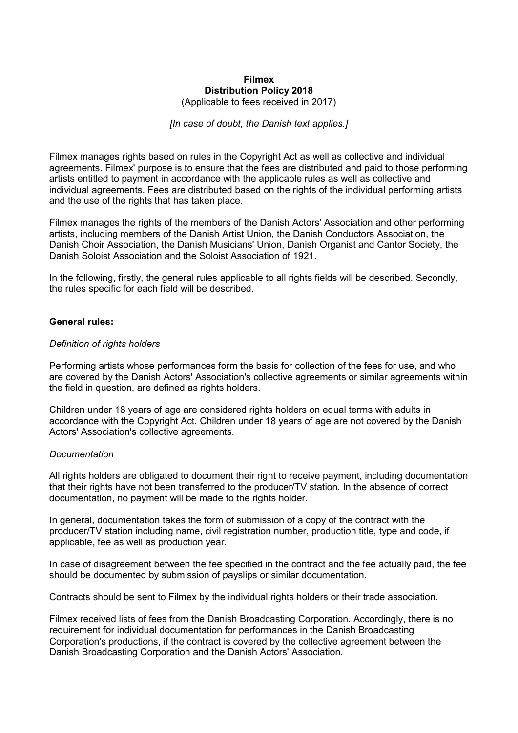# **Filmex Distribution Policy 2018**

(Applicable to fees received in 2017)

### *[In case of doubt, the Danish text applies.]*

Filmex manages rights based on rules in the Copyright Act as well as collective and individual agreements. Filmex' purpose is to ensure that the fees are distributed and paid to those performing artists entitled to payment in accordance with the applicable rules as well as collective and individual agreements. Fees are distributed based on the rights of the individual performing artists and the use of the rights that has taken place.

Filmex manages the rights of the members of the Danish Actors' Association and other performing artists, including members of the Danish Artist Union, the Danish Conductors Association, the Danish Choir Association, the Danish Musicians' Union, Danish Organist and Cantor Society, the Danish Soloist Association and the Soloist Association of 1921.

In the following, firstly, the general rules applicable to all rights fields will be described. Secondly, the rules specific for each field will be described.

#### **General rules:**

#### *Definition of rights holders*

Performing artists whose performances form the basis for collection of the fees for use, and who are covered by the Danish Actors' Association's collective agreements or similar agreements within the field in question, are defined as rights holders.

Children under 18 years of age are considered rights holders on equal terms with adults in accordance with the Copyright Act. Children under 18 years of age are not covered by the Danish Actors' Association's collective agreements.

#### *Documentation*

All rights holders are obligated to document their right to receive payment, including documentation that their rights have not been transferred to the producer/TV station. In the absence of correct documentation, no payment will be made to the rights holder.

In general, documentation takes the form of submission of a copy of the contract with the producer/TV station including name, civil registration number, production title, type and code, if applicable, fee as well as production year.

In case of disagreement between the fee specified in the contract and the fee actually paid, the fee should be documented by submission of payslips or similar documentation.

Contracts should be sent to Filmex by the individual rights holders or their trade association.

Filmex received lists of fees from the Danish Broadcasting Corporation. Accordingly, there is no requirement for individual documentation for performances in the Danish Broadcasting Corporation's productions, if the contract is covered by the collective agreement between the Danish Broadcasting Corporation and the Danish Actors' Association.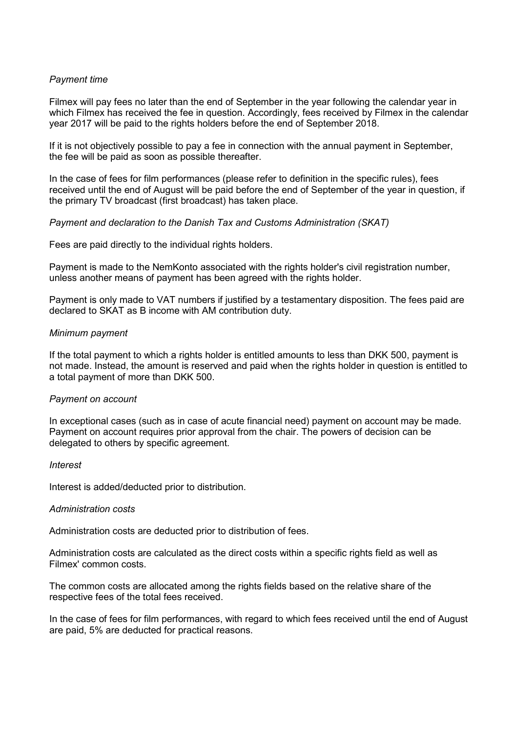# *Payment time*

Filmex will pay fees no later than the end of September in the year following the calendar year in which Filmex has received the fee in question. Accordingly, fees received by Filmex in the calendar year 2017 will be paid to the rights holders before the end of September 2018.

If it is not objectively possible to pay a fee in connection with the annual payment in September, the fee will be paid as soon as possible thereafter.

In the case of fees for film performances (please refer to definition in the specific rules), fees received until the end of August will be paid before the end of September of the year in question, if the primary TV broadcast (first broadcast) has taken place.

### *Payment and declaration to the Danish Tax and Customs Administration (SKAT)*

Fees are paid directly to the individual rights holders.

Payment is made to the NemKonto associated with the rights holder's civil registration number, unless another means of payment has been agreed with the rights holder.

Payment is only made to VAT numbers if justified by a testamentary disposition. The fees paid are declared to SKAT as B income with AM contribution duty.

### *Minimum payment*

If the total payment to which a rights holder is entitled amounts to less than DKK 500, payment is not made. Instead, the amount is reserved and paid when the rights holder in question is entitled to a total payment of more than DKK 500.

#### *Payment on account*

In exceptional cases (such as in case of acute financial need) payment on account may be made. Payment on account requires prior approval from the chair. The powers of decision can be delegated to others by specific agreement.

*Interest*

Interest is added/deducted prior to distribution.

#### *Administration costs*

Administration costs are deducted prior to distribution of fees.

Administration costs are calculated as the direct costs within a specific rights field as well as Filmex' common costs.

The common costs are allocated among the rights fields based on the relative share of the respective fees of the total fees received.

In the case of fees for film performances, with regard to which fees received until the end of August are paid, 5% are deducted for practical reasons.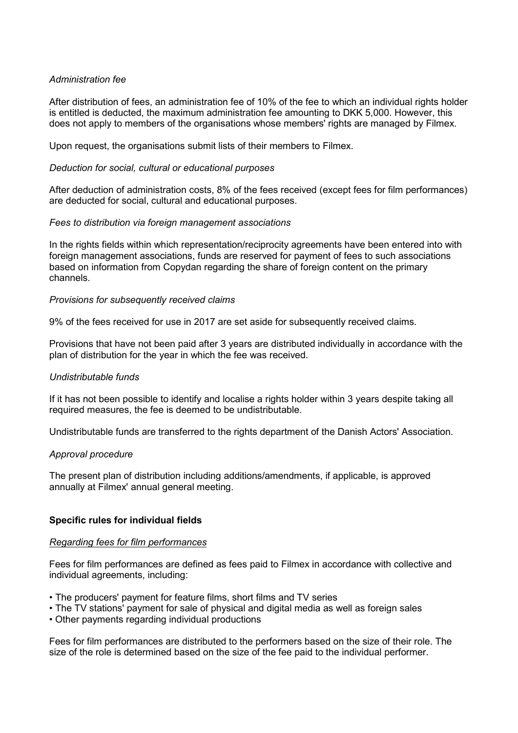# *Administration fee*

After distribution of fees, an administration fee of 10% of the fee to which an individual rights holder is entitled is deducted, the maximum administration fee amounting to DKK 5,000. However, this does not apply to members of the organisations whose members' rights are managed by Filmex.

Upon request, the organisations submit lists of their members to Filmex.

### *Deduction for social, cultural or educational purposes*

After deduction of administration costs, 8% of the fees received (except fees for film performances) are deducted for social, cultural and educational purposes.

### *Fees to distribution via foreign management associations*

In the rights fields within which representation/reciprocity agreements have been entered into with foreign management associations, funds are reserved for payment of fees to such associations based on information from Copydan regarding the share of foreign content on the primary channels.

### *Provisions for subsequently received claims*

9% of the fees received for use in 2017 are set aside for subsequently received claims.

Provisions that have not been paid after 3 years are distributed individually in accordance with the plan of distribution for the year in which the fee was received.

# *Undistributable funds*

If it has not been possible to identify and localise a rights holder within 3 years despite taking all required measures, the fee is deemed to be undistributable.

Undistributable funds are transferred to the rights department of the Danish Actors' Association.

#### *Approval procedure*

The present plan of distribution including additions/amendments, if applicable, is approved annually at Filmex' annual general meeting.

# **Specific rules for individual fields**

#### *Regarding fees for film performances*

Fees for film performances are defined as fees paid to Filmex in accordance with collective and individual agreements, including:

- The producers' payment for feature films, short films and TV series
- The TV stations' payment for sale of physical and digital media as well as foreign sales
- Other payments regarding individual productions

Fees for film performances are distributed to the performers based on the size of their role. The size of the role is determined based on the size of the fee paid to the individual performer.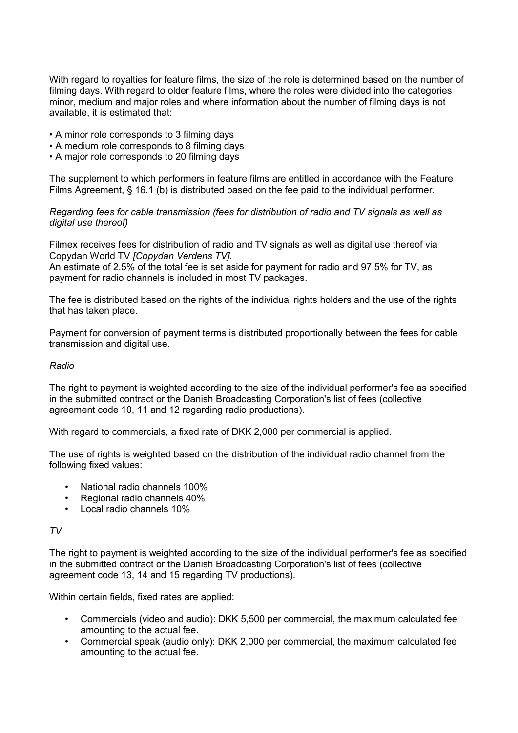With regard to royalties for feature films, the size of the role is determined based on the number of filming days. With regard to older feature films, where the roles were divided into the categories minor, medium and major roles and where information about the number of filming days is not available, it is estimated that:

- A minor role corresponds to 3 filming days
- A medium role corresponds to 8 filming days
- A major role corresponds to 20 filming days

The supplement to which performers in feature films are entitled in accordance with the Feature Films Agreement, § 16.1 (b) is distributed based on the fee paid to the individual performer.

*Regarding fees for cable transmission (fees for distribution of radio and TV signals as well as digital use thereof)*

Filmex receives fees for distribution of radio and TV signals as well as digital use thereof via Copydan World TV *[Copydan Verdens TV]*.

An estimate of 2.5% of the total fee is set aside for payment for radio and 97.5% for TV, as payment for radio channels is included in most TV packages.

The fee is distributed based on the rights of the individual rights holders and the use of the rights that has taken place.

Payment for conversion of payment terms is distributed proportionally between the fees for cable transmission and digital use.

### *Radio*

The right to payment is weighted according to the size of the individual performer's fee as specified in the submitted contract or the Danish Broadcasting Corporation's list of fees (collective agreement code 10, 11 and 12 regarding radio productions).

With regard to commercials, a fixed rate of DKK 2,000 per commercial is applied.

The use of rights is weighted based on the distribution of the individual radio channel from the following fixed values:

- National radio channels 100%
- Regional radio channels 40%
- Local radio channels 10%

#### *TV*

The right to payment is weighted according to the size of the individual performer's fee as specified in the submitted contract or the Danish Broadcasting Corporation's list of fees (collective agreement code 13, 14 and 15 regarding TV productions).

Within certain fields, fixed rates are applied:

- Commercials (video and audio): DKK 5,500 per commercial, the maximum calculated fee amounting to the actual fee.
- Commercial speak (audio only): DKK 2,000 per commercial, the maximum calculated fee amounting to the actual fee.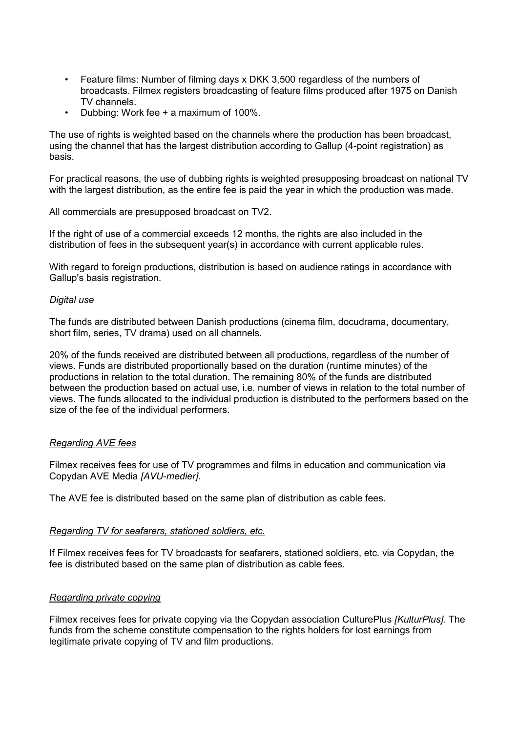- Feature films: Number of filming days x DKK 3,500 regardless of the numbers of broadcasts. Filmex registers broadcasting of feature films produced after 1975 on Danish TV channels.
- Dubbing: Work fee + a maximum of 100%.

The use of rights is weighted based on the channels where the production has been broadcast, using the channel that has the largest distribution according to Gallup (4-point registration) as basis.

For practical reasons, the use of dubbing rights is weighted presupposing broadcast on national TV with the largest distribution, as the entire fee is paid the year in which the production was made.

All commercials are presupposed broadcast on TV2.

If the right of use of a commercial exceeds 12 months, the rights are also included in the distribution of fees in the subsequent year(s) in accordance with current applicable rules.

With regard to foreign productions, distribution is based on audience ratings in accordance with Gallup's basis registration.

# *Digital use*

The funds are distributed between Danish productions (cinema film, docudrama, documentary, short film, series, TV drama) used on all channels.

20% of the funds received are distributed between all productions, regardless of the number of views. Funds are distributed proportionally based on the duration (runtime minutes) of the productions in relation to the total duration. The remaining 80% of the funds are distributed between the production based on actual use, i.e. number of views in relation to the total number of views. The funds allocated to the individual production is distributed to the performers based on the size of the fee of the individual performers.

# *Regarding AVE fees*

Filmex receives fees for use of TV programmes and films in education and communication via Copydan AVE Media *[AVU-medier]*.

The AVE fee is distributed based on the same plan of distribution as cable fees.

# *Regarding TV for seafarers, stationed soldiers, etc.*

If Filmex receives fees for TV broadcasts for seafarers, stationed soldiers, etc. via Copydan, the fee is distributed based on the same plan of distribution as cable fees.

#### *Regarding private copying*

Filmex receives fees for private copying via the Copydan association CulturePlus *[KulturPlus]*. The funds from the scheme constitute compensation to the rights holders for lost earnings from legitimate private copying of TV and film productions.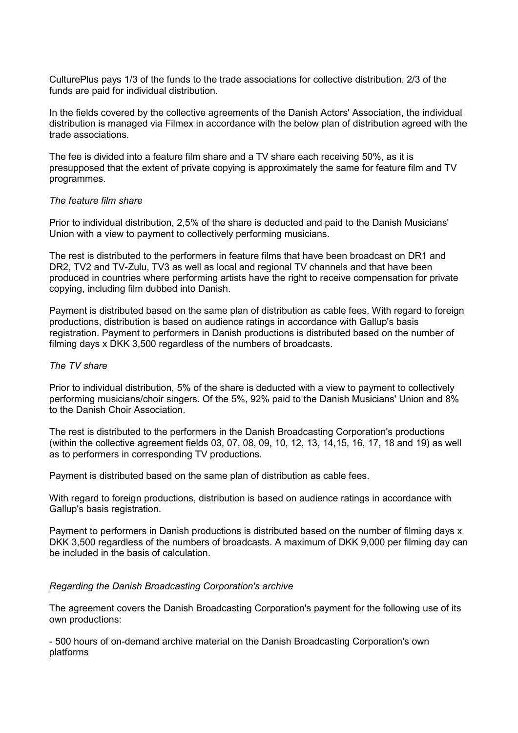CulturePlus pays 1/3 of the funds to the trade associations for collective distribution. 2/3 of the funds are paid for individual distribution.

In the fields covered by the collective agreements of the Danish Actors' Association, the individual distribution is managed via Filmex in accordance with the below plan of distribution agreed with the trade associations.

The fee is divided into a feature film share and a TV share each receiving 50%, as it is presupposed that the extent of private copying is approximately the same for feature film and TV programmes.

### *The feature film share*

Prior to individual distribution, 2,5% of the share is deducted and paid to the Danish Musicians' Union with a view to payment to collectively performing musicians.

The rest is distributed to the performers in feature films that have been broadcast on DR1 and DR2, TV2 and TV-Zulu, TV3 as well as local and regional TV channels and that have been produced in countries where performing artists have the right to receive compensation for private copying, including film dubbed into Danish.

Payment is distributed based on the same plan of distribution as cable fees. With regard to foreign productions, distribution is based on audience ratings in accordance with Gallup's basis registration. Payment to performers in Danish productions is distributed based on the number of filming days x DKK 3,500 regardless of the numbers of broadcasts.

#### *The TV share*

Prior to individual distribution, 5% of the share is deducted with a view to payment to collectively performing musicians/choir singers. Of the 5%, 92% paid to the Danish Musicians' Union and 8% to the Danish Choir Association.

The rest is distributed to the performers in the Danish Broadcasting Corporation's productions (within the collective agreement fields 03, 07, 08, 09, 10, 12, 13, 14,15, 16, 17, 18 and 19) as well as to performers in corresponding TV productions.

Payment is distributed based on the same plan of distribution as cable fees.

With regard to foreign productions, distribution is based on audience ratings in accordance with Gallup's basis registration.

Payment to performers in Danish productions is distributed based on the number of filming days x DKK 3,500 regardless of the numbers of broadcasts. A maximum of DKK 9,000 per filming day can be included in the basis of calculation.

#### *Regarding the Danish Broadcasting Corporation's archive*

The agreement covers the Danish Broadcasting Corporation's payment for the following use of its own productions:

- 500 hours of on-demand archive material on the Danish Broadcasting Corporation's own platforms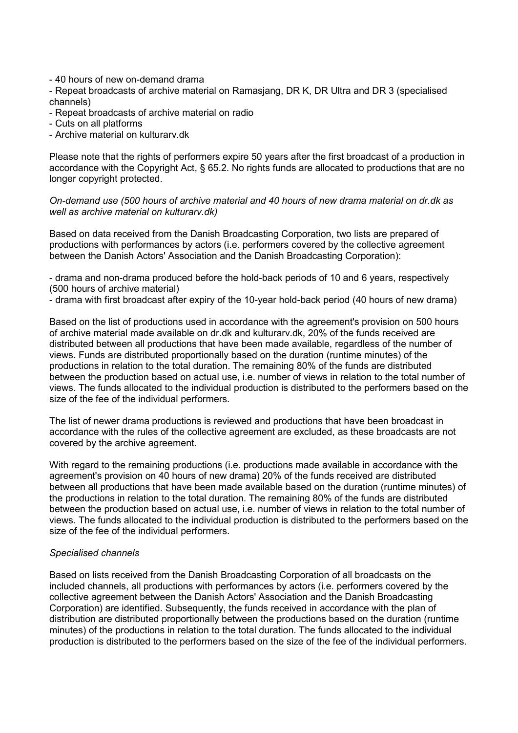- 40 hours of new on-demand drama

- Repeat broadcasts of archive material on Ramasjang, DR K, DR Ultra and DR 3 (specialised channels)

- Repeat broadcasts of archive material on radio
- Cuts on all platforms
- Archive material on kulturarv.dk

Please note that the rights of performers expire 50 years after the first broadcast of a production in accordance with the Copyright Act, § 65.2. No rights funds are allocated to productions that are no longer copyright protected.

*On-demand use (500 hours of archive material and 40 hours of new drama material on dr.dk as well as archive material on kulturarv.dk)* 

Based on data received from the Danish Broadcasting Corporation, two lists are prepared of productions with performances by actors (i.e. performers covered by the collective agreement between the Danish Actors' Association and the Danish Broadcasting Corporation):

- drama and non-drama produced before the hold-back periods of 10 and 6 years, respectively (500 hours of archive material)

- drama with first broadcast after expiry of the 10-year hold-back period (40 hours of new drama)

Based on the list of productions used in accordance with the agreement's provision on 500 hours of archive material made available on dr.dk and kulturarv.dk, 20% of the funds received are distributed between all productions that have been made available, regardless of the number of views. Funds are distributed proportionally based on the duration (runtime minutes) of the productions in relation to the total duration. The remaining 80% of the funds are distributed between the production based on actual use, i.e. number of views in relation to the total number of views. The funds allocated to the individual production is distributed to the performers based on the size of the fee of the individual performers.

The list of newer drama productions is reviewed and productions that have been broadcast in accordance with the rules of the collective agreement are excluded, as these broadcasts are not covered by the archive agreement.

With regard to the remaining productions (i.e. productions made available in accordance with the agreement's provision on 40 hours of new drama) 20% of the funds received are distributed between all productions that have been made available based on the duration (runtime minutes) of the productions in relation to the total duration. The remaining 80% of the funds are distributed between the production based on actual use, i.e. number of views in relation to the total number of views. The funds allocated to the individual production is distributed to the performers based on the size of the fee of the individual performers.

# *Specialised channels*

Based on lists received from the Danish Broadcasting Corporation of all broadcasts on the included channels, all productions with performances by actors (i.e. performers covered by the collective agreement between the Danish Actors' Association and the Danish Broadcasting Corporation) are identified. Subsequently, the funds received in accordance with the plan of distribution are distributed proportionally between the productions based on the duration (runtime minutes) of the productions in relation to the total duration. The funds allocated to the individual production is distributed to the performers based on the size of the fee of the individual performers.